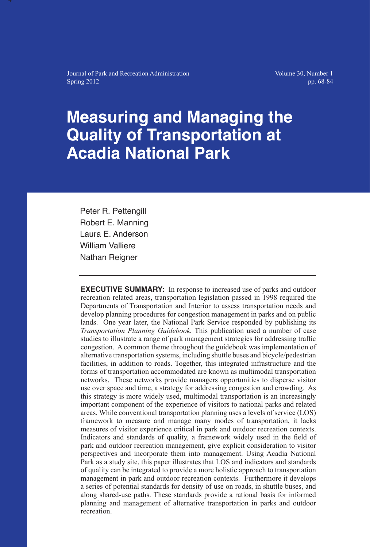Journal of Park and Recreation Administration Spring 2012

Volume 30, Number 1 pp. 68-84

# **Measuring and Managing the Quality of Transportation at Acadia National Park**

Peter R. Pettengill Robert E. Manning Laura E. Anderson William Valliere Nathan Reigner

**EXECUTIVE SUMMARY:** In response to increased use of parks and outdoor recreation related areas, transportation legislation passed in 1998 required the Departments of Transportation and Interior to assess transportation needs and develop planning procedures for congestion management in parks and on public lands. One year later, the National Park Service responded by publishing its *Transportation Planning Guidebook.* This publication used a number of case studies to illustrate a range of park management strategies for addressing traffic congestion. A common theme throughout the guidebook was implementation of alternative transportation systems, including shuttle buses and bicycle/pedestrian facilities, in addition to roads. Together, this integrated infrastructure and the forms of transportation accommodated are known as multimodal transportation networks. These networks provide managers opportunities to disperse visitor use over space and time, a strategy for addressing congestion and crowding. As this strategy is more widely used, multimodal transportation is an increasingly important component of the experience of visitors to national parks and related areas. While conventional transportation planning uses a levels of service (LOS) framework to measure and manage many modes of transportation, it lacks measures of visitor experience critical in park and outdoor recreation contexts. Indicators and standards of quality, a framework widely used in the field of park and outdoor recreation management, give explicit consideration to visitor perspectives and incorporate them into management. Using Acadia National Park as a study site, this paper illustrates that LOS and indicators and standards of quality can be integrated to provide a more holistic approach to transportation management in park and outdoor recreation contexts. Furthermore it develops a series of potential standards for density of use on roads, in shuttle buses, and along shared-use paths. These standards provide a rational basis for informed planning and management of alternative transportation in parks and outdoor recreation.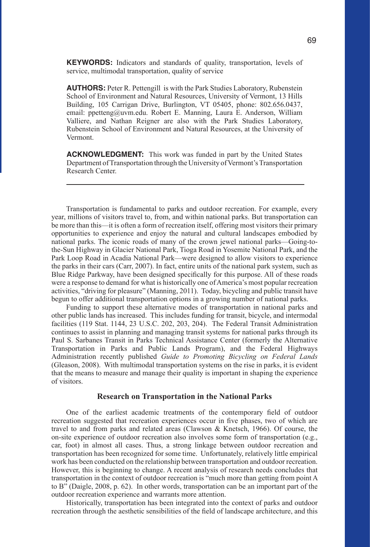**KEYWORDS:** Indicators and standards of quality, transportation, levels of service, multimodal transportation, quality of service

**AUTHORS:** Peter R. Pettengill is with the Park Studies Laboratory, Rubenstein School of Environment and Natural Resources, University of Vermont, 13 Hills Building, 105 Carrigan Drive, Burlington, VT 05405, phone: 802.656.0437, email: ppetteng@uvm.edu. Robert E. Manning, Laura E. Anderson, William Valliere, and Nathan Reigner are also with the Park Studies Laboratory, Rubenstein School of Environment and Natural Resources, at the University of Vermont.

**ACKNOWLEDGMENT:** This work was funded in part by the United States Department of Transportation through the University of Vermont's Transportation Research Center.

Transportation is fundamental to parks and outdoor recreation. For example, every year, millions of visitors travel to, from, and within national parks. But transportation can be more than this—it is often a form of recreation itself, offering most visitors their primary opportunities to experience and enjoy the natural and cultural landscapes embodied by national parks. The iconic roads of many of the crown jewel national parks—Going-tothe-Sun Highway in Glacier National Park, Tioga Road in Yosemite National Park, and the Park Loop Road in Acadia National Park—were designed to allow visitors to experience the parks in their cars (Carr, 2007). In fact, entire units of the national park system, such as Blue Ridge Parkway, have been designed specifically for this purpose. All of these roads were a response to demand for what is historically one of America's most popular recreation activities, "driving for pleasure" (Manning, 2011). Today, bicycling and public transit have begun to offer additional transportation options in a growing number of national parks.

Funding to support these alternative modes of transportation in national parks and other public lands has increased. This includes funding for transit, bicycle, and intermodal facilities (119 Stat. 1144, 23 U.S.C. 202, 203, 204). The Federal Transit Administration continues to assist in planning and managing transit systems for national parks through its Paul S. Sarbanes Transit in Parks Technical Assistance Center (formerly the Alternative Transportation in Parks and Public Lands Program), and the Federal Highways Administration recently published *Guide to Promoting Bicycling on Federal Lands*  (Gleason, 2008). With multimodal transportation systems on the rise in parks, it is evident that the means to measure and manage their quality is important in shaping the experience of visitors.

# **Research on Transportation in the National Parks**

One of the earliest academic treatments of the contemporary field of outdoor recreation suggested that recreation experiences occur in five phases, two of which are travel to and from parks and related areas (Clawson & Knetsch, 1966). Of course, the on-site experience of outdoor recreation also involves some form of transportation (e.g., car, foot) in almost all cases. Thus, a strong linkage between outdoor recreation and transportation has been recognized for some time. Unfortunately, relatively little empirical work has been conducted on the relationship between transportation and outdoor recreation. However, this is beginning to change. A recent analysis of research needs concludes that transportation in the context of outdoor recreation is "much more than getting from point A to B" (Daigle, 2008, p. 62). In other words, transportation can be an important part of the outdoor recreation experience and warrants more attention.

Historically, transportation has been integrated into the context of parks and outdoor recreation through the aesthetic sensibilities of the field of landscape architecture, and this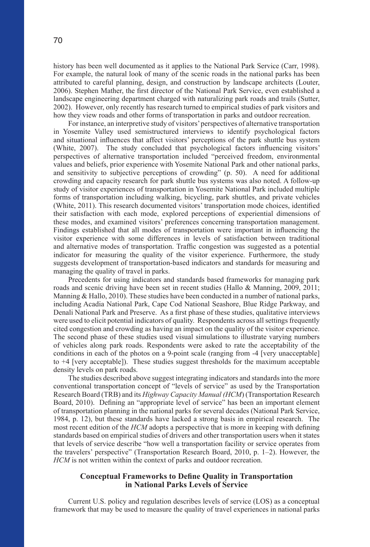history has been well documented as it applies to the National Park Service (Carr, 1998). For example, the natural look of many of the scenic roads in the national parks has been attributed to careful planning, design, and construction by landscape architects (Louter, 2006). Stephen Mather, the first director of the National Park Service, even established a landscape engineering department charged with naturalizing park roads and trails (Sutter, 2002). However, only recently has research turned to empirical studies of park visitors and how they view roads and other forms of transportation in parks and outdoor recreation.

For instance, an interpretive study of visitors' perspectives of alternative transportation in Yosemite Valley used semistructured interviews to identify psychological factors and situational influences that affect visitors' perceptions of the park shuttle bus system (White, 2007). The study concluded that psychological factors influencing visitors' perspectives of alternative transportation included "perceived freedom, environmental values and beliefs, prior experience with Yosemite National Park and other national parks, and sensitivity to subjective perceptions of crowding" (p. 50). A need for additional crowding and capacity research for park shuttle bus systems was also noted. A follow-up study of visitor experiences of transportation in Yosemite National Park included multiple forms of transportation including walking, bicycling, park shuttles, and private vehicles (White, 2011). This research documented visitors' transportation mode choices, identified their satisfaction with each mode, explored perceptions of experiential dimensions of these modes, and examined visitors' preferences concerning transportation management. Findings established that all modes of transportation were important in influencing the visitor experience with some differences in levels of satisfaction between traditional and alternative modes of transportation. Traffic congestion was suggested as a potential indicator for measuring the quality of the visitor experience. Furthermore, the study suggests development of transportation-based indicators and standards for measuring and managing the quality of travel in parks.

Precedents for using indicators and standards based frameworks for managing park roads and scenic driving have been set in recent studies (Hallo & Manning, 2009, 2011; Manning & Hallo, 2010). These studies have been conducted in a number of national parks, including Acadia National Park, Cape Cod National Seashore, Blue Ridge Parkway, and Denali National Park and Preserve. As a first phase of these studies, qualitative interviews were used to elicit potential indicators of quality. Respondents across all settings frequently cited congestion and crowding as having an impact on the quality of the visitor experience. The second phase of these studies used visual simulations to illustrate varying numbers of vehicles along park roads. Respondents were asked to rate the acceptability of the conditions in each of the photos on a 9-point scale (ranging from -4 [very unacceptable] to +4 [very acceptable]). These studies suggest thresholds for the maximum acceptable density levels on park roads.

The studies described above suggest integrating indicators and standards into the more conventional transportation concept of "levels of service" as used by the Transportation Research Board (TRB) and its *Highway Capacity Manual (HCM*) (Transportation Research Board, 2010). Defining an "appropriate level of service" has been an important element of transportation planning in the national parks for several decades (National Park Service, 1984, p. 12), but these standards have lacked a strong basis in empirical research. The most recent edition of the *HCM* adopts a perspective that is more in keeping with defining standards based on empirical studies of drivers and other transportation users when it states that levels of service describe "how well a transportation facility or service operates from the travelers' perspective" (Transportation Research Board, 2010, p. 1–2). However, the *HCM* is not written within the context of parks and outdoor recreation.

# **Conceptual Frameworks to Define Quality in Transportation in National Parks Levels of Service**

Current U.S. policy and regulation describes levels of service (LOS) as a conceptual framework that may be used to measure the quality of travel experiences in national parks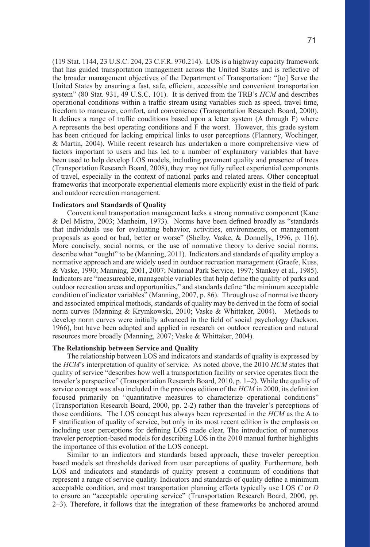(119 Stat. 1144, 23 U.S.C. 204, 23 C.F.R. 970.214). LOS is a highway capacity framework that has guided transportation management across the United States and is reflective of the broader management objectives of the Department of Transportation: "[to] Serve the United States by ensuring a fast, safe, efficient, accessible and convenient transportation system" (80 Stat. 931, 49 U.S.C. 101). It is derived from the TRB's *HCM* and describes operational conditions within a traffic stream using variables such as speed, travel time, freedom to maneuver, comfort, and convenience (Transportation Research Board, 2000). It defines a range of traffic conditions based upon a letter system (A through F) where A represents the best operating conditions and F the worst. However, this grade system has been critiqued for lacking empirical links to user perceptions (Flannery, Wochinger, & Martin, 2004). While recent research has undertaken a more comprehensive view of factors important to users and has led to a number of explanatory variables that have been used to help develop LOS models, including pavement quality and presence of trees (Transportation Research Board, 2008), they may not fully reflect experiential components of travel, especially in the context of national parks and related areas. Other conceptual frameworks that incorporate experiential elements more explicitly exist in the field of park and outdoor recreation management.

## **Indicators and Standards of Quality**

Conventional transportation management lacks a strong normative component (Kane & Del Mistro, 2003; Manheim, 1973). Norms have been defined broadly as "standards that individuals use for evaluating behavior, activities, environments, or management proposals as good or bad, better or worse" (Shelby, Vaske, & Donnelly, 1996, p. 116). More concisely, social norms, or the use of normative theory to derive social norms, describe what "ought" to be (Manning, 2011). Indicators and standards of quality employ a normative approach and are widely used in outdoor recreation management (Graefe, Kuss, & Vaske, 1990; Manning, 2001, 2007; National Park Service, 1997; Stankey et al., 1985). Indicators are "measureable, manageable variables that help define the quality of parks and outdoor recreation areas and opportunities," and standards define "the minimum acceptable condition of indicator variables" (Manning, 2007, p. 86). Through use of normative theory and associated empirical methods, standards of quality may be derived in the form of social norm curves (Manning & Krymkowski, 2010; Vaske & Whittaker, 2004). Methods to develop norm curves were initially advanced in the field of social psychology (Jackson, 1966), but have been adapted and applied in research on outdoor recreation and natural resources more broadly (Manning, 2007; Vaske & Whittaker, 2004).

## **The Relationship between Service and Quality**

The relationship between LOS and indicators and standards of quality is expressed by the *HCM*'s interpretation of quality of service. As noted above, the 2010 *HCM* states that quality of service "describes how well a transportation facility or service operates from the traveler's perspective" (Transportation Research Board, 2010, p. 1–2). While the quality of service concept was also included in the previous edition of the *HCM* in 2000, its definition focused primarily on "quantitative measures to characterize operational conditions" (Transportation Research Board, 2000, pp. 2-2) rather than the traveler's perceptions of those conditions. The LOS concept has always been represented in the *HCM* as the A to F stratification of quality of service, but only in its most recent edition is the emphasis on including user perceptions for defining LOS made clear. The introduction of numerous traveler perception-based models for describing LOS in the 2010 manual further highlights the importance of this evolution of the LOS concept.

Similar to an indicators and standards based approach, these traveler perception based models set thresholds derived from user perceptions of quality. Furthermore, both LOS and indicators and standards of quality present a continuum of conditions that represent a range of service quality. Indicators and standards of quality define a minimum acceptable condition, and most transportation planning efforts typically use LOS *C* or *D*  to ensure an "acceptable operating service" (Transportation Research Board, 2000, pp. 2–3). Therefore, it follows that the integration of these frameworks be anchored around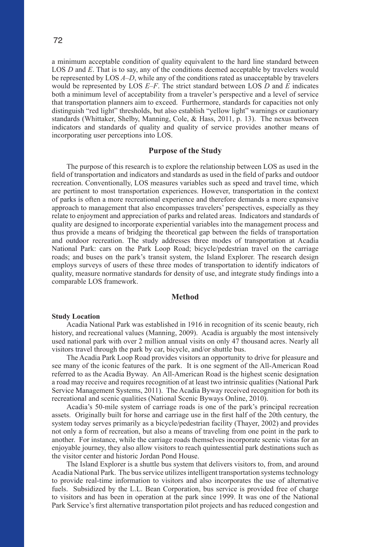72

a minimum acceptable condition of quality equivalent to the hard line standard between LOS *D* and *E*. That is to say, any of the conditions deemed acceptable by travelers would be represented by LOS *A–D*, while any of the conditions rated as unacceptable by travelers would be represented by LOS *E–F*. The strict standard between LOS *D* and *E* indicates both a minimum level of acceptability from a traveler's perspective and a level of service that transportation planners aim to exceed. Furthermore, standards for capacities not only distinguish "red light" thresholds, but also establish "yellow light" warnings or cautionary standards (Whittaker, Shelby, Manning, Cole, & Hass, 2011, p. 13). The nexus between indicators and standards of quality and quality of service provides another means of incorporating user perceptions into LOS.

# **Purpose of the Study**

The purpose of this research is to explore the relationship between LOS as used in the field of transportation and indicators and standards as used in the field of parks and outdoor recreation. Conventionally, LOS measures variables such as speed and travel time, which are pertinent to most transportation experiences. However, transportation in the context of parks is often a more recreational experience and therefore demands a more expansive approach to management that also encompasses travelers' perspectives, especially as they relate to enjoyment and appreciation of parks and related areas. Indicators and standards of quality are designed to incorporate experiential variables into the management process and thus provide a means of bridging the theoretical gap between the fields of transportation and outdoor recreation. The study addresses three modes of transportation at Acadia National Park: cars on the Park Loop Road; bicycle/pedestrian travel on the carriage roads; and buses on the park's transit system, the Island Explorer. The research design employs surveys of users of these three modes of transportation to identify indicators of quality, measure normative standards for density of use, and integrate study findings into a comparable LOS framework.

# **Method**

#### **Study Location**

Acadia National Park was established in 1916 in recognition of its scenic beauty, rich history, and recreational values (Manning, 2009). Acadia is arguably the most intensively used national park with over 2 million annual visits on only 47 thousand acres. Nearly all visitors travel through the park by car, bicycle, and/or shuttle bus.

The Acadia Park Loop Road provides visitors an opportunity to drive for pleasure and see many of the iconic features of the park. It is one segment of the All-American Road referred to as the Acadia Byway. An All-American Road is the highest scenic designation a road may receive and requires recognition of at least two intrinsic qualities (National Park Service Management Systems, 2011). The Acadia Byway received recognition for both its recreational and scenic qualities (National Scenic Byways Online, 2010).

Acadia's 50-mile system of carriage roads is one of the park's principal recreation assets. Originally built for horse and carriage use in the first half of the 20th century, the system today serves primarily as a bicycle/pedestrian facility (Thayer, 2002) and provides not only a form of recreation, but also a means of traveling from one point in the park to another. For instance, while the carriage roads themselves incorporate scenic vistas for an enjoyable journey, they also allow visitors to reach quintessential park destinations such as the visitor center and historic Jordan Pond House.

The Island Explorer is a shuttle bus system that delivers visitors to, from, and around Acadia National Park. The bus service utilizes intelligent transportation systems technology to provide real-time information to visitors and also incorporates the use of alternative fuels. Subsidized by the L.L. Bean Corporation, bus service is provided free of charge to visitors and has been in operation at the park since 1999. It was one of the National Park Service's first alternative transportation pilot projects and has reduced congestion and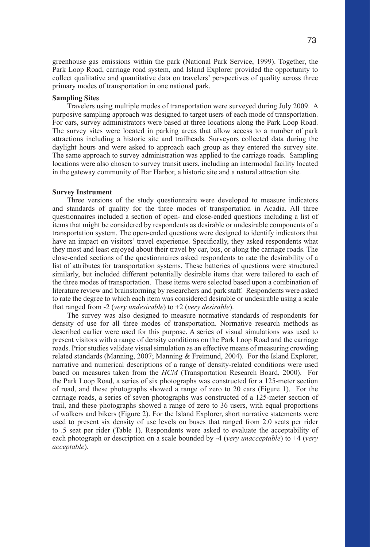greenhouse gas emissions within the park (National Park Service, 1999). Together, the Park Loop Road, carriage road system, and Island Explorer provided the opportunity to collect qualitative and quantitative data on travelers' perspectives of quality across three primary modes of transportation in one national park.

#### **Sampling Sites**

Travelers using multiple modes of transportation were surveyed during July 2009. A purposive sampling approach was designed to target users of each mode of transportation. For cars, survey administrators were based at three locations along the Park Loop Road. The survey sites were located in parking areas that allow access to a number of park attractions including a historic site and trailheads. Surveyors collected data during the daylight hours and were asked to approach each group as they entered the survey site. The same approach to survey administration was applied to the carriage roads. Sampling locations were also chosen to survey transit users, including an intermodal facility located in the gateway community of Bar Harbor, a historic site and a natural attraction site.

#### **Survey Instrument**

Three versions of the study questionnaire were developed to measure indicators and standards of quality for the three modes of transportation in Acadia. All three questionnaires included a section of open- and close-ended questions including a list of items that might be considered by respondents as desirable or undesirable components of a transportation system. The open-ended questions were designed to identify indicators that have an impact on visitors' travel experience. Specifically, they asked respondents what they most and least enjoyed about their travel by car, bus, or along the carriage roads. The close-ended sections of the questionnaires asked respondents to rate the desirability of a list of attributes for transportation systems. These batteries of questions were structured similarly, but included different potentially desirable items that were tailored to each of the three modes of transportation. These items were selected based upon a combination of literature review and brainstorming by researchers and park staff. Respondents were asked to rate the degree to which each item was considered desirable or undesirable using a scale that ranged from -2 (*very undesirable*) to +2 (*very desirable*).

The survey was also designed to measure normative standards of respondents for density of use for all three modes of transportation. Normative research methods as described earlier were used for this purpose. A series of visual simulations was used to present visitors with a range of density conditions on the Park Loop Road and the carriage roads. Prior studies validate visual simulation as an effective means of measuring crowding related standards (Manning, 2007; Manning & Freimund, 2004). For the Island Explorer, narrative and numerical descriptions of a range of density-related conditions were used based on measures taken from the *HCM* (Transportation Research Board, 2000). For the Park Loop Road, a series of six photographs was constructed for a 125-meter section of road, and these photographs showed a range of zero to 20 cars (Figure 1). For the carriage roads, a series of seven photographs was constructed of a 125-meter section of trail, and these photographs showed a range of zero to 36 users, with equal proportions of walkers and bikers (Figure 2). For the Island Explorer, short narrative statements were used to present six density of use levels on buses that ranged from 2.0 seats per rider to .5 seat per rider (Table 1). Respondents were asked to evaluate the acceptability of each photograph or description on a scale bounded by -4 (*very unacceptable*) to +4 (*very acceptable*).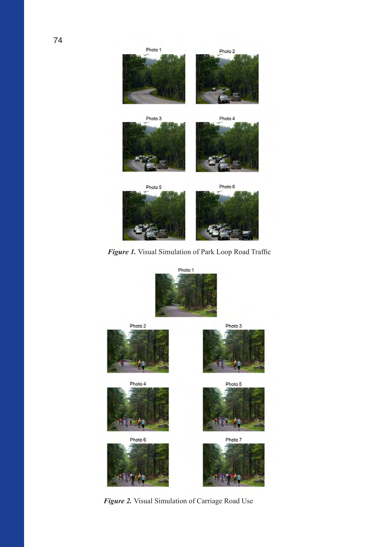

*Figure 1.* Visual Simulation of Park Loop Road Traffic



*Figure 2.* Visual Simulation of Carriage Road Use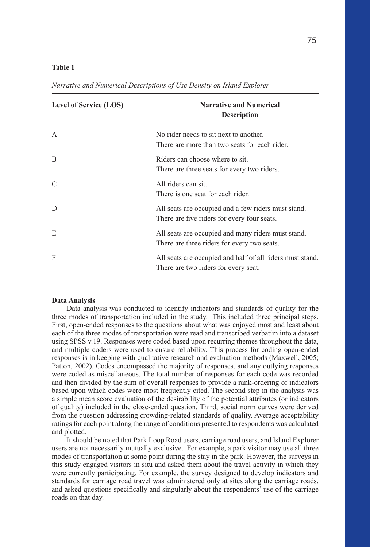## **Table 1**

| <b>Level of Service (LOS)</b> | <b>Narrative and Numerical</b><br><b>Description</b>                                               |
|-------------------------------|----------------------------------------------------------------------------------------------------|
| $\mathsf{A}$                  | No rider needs to sit next to another.<br>There are more than two seats for each rider.            |
| B                             | Riders can choose where to sit.<br>There are three seats for every two riders.                     |
| $\mathcal{C}$                 | All riders can sit.<br>There is one seat for each rider.                                           |
| D                             | All seats are occupied and a few riders must stand.<br>There are five riders for every four seats. |
| E                             | All seats are occupied and many riders must stand.<br>There are three riders for every two seats.  |
| F                             | All seats are occupied and half of all riders must stand.<br>There are two riders for every seat.  |
|                               |                                                                                                    |

*Narrative and Numerical Descriptions of Use Density on Island Explorer*

## **Data Analysis**

Data analysis was conducted to identify indicators and standards of quality for the three modes of transportation included in the study. This included three principal steps. First, open-ended responses to the questions about what was enjoyed most and least about each of the three modes of transportation were read and transcribed verbatim into a dataset using SPSS v.19. Responses were coded based upon recurring themes throughout the data, and multiple coders were used to ensure reliability. This process for coding open-ended responses is in keeping with qualitative research and evaluation methods (Maxwell, 2005; Patton, 2002). Codes encompassed the majority of responses, and any outlying responses were coded as miscellaneous. The total number of responses for each code was recorded and then divided by the sum of overall responses to provide a rank-ordering of indicators based upon which codes were most frequently cited. The second step in the analysis was a simple mean score evaluation of the desirability of the potential attributes (or indicators of quality) included in the close-ended question. Third, social norm curves were derived from the question addressing crowding-related standards of quality. Average acceptability ratings for each point along the range of conditions presented to respondents was calculated and plotted.

It should be noted that Park Loop Road users, carriage road users, and Island Explorer users are not necessarily mutually exclusive. For example, a park visitor may use all three modes of transportation at some point during the stay in the park. However, the surveys in this study engaged visitors in situ and asked them about the travel activity in which they were currently participating. For example, the survey designed to develop indicators and standards for carriage road travel was administered only at sites along the carriage roads, and asked questions specifically and singularly about the respondents' use of the carriage roads on that day.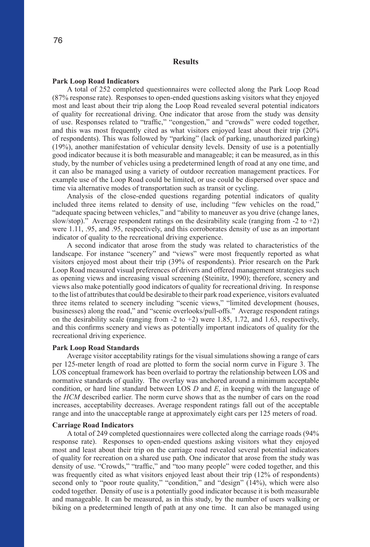# **Results**

#### **Park Loop Road Indicators**

A total of 252 completed questionnaires were collected along the Park Loop Road (87% response rate). Responses to open-ended questions asking visitors what they enjoyed most and least about their trip along the Loop Road revealed several potential indicators of quality for recreational driving. One indicator that arose from the study was density of use. Responses related to "traffic," "congestion," and "crowds" were coded together, and this was most frequently cited as what visitors enjoyed least about their trip (20% of respondents). This was followed by "parking" (lack of parking, unauthorized parking) (19%), another manifestation of vehicular density levels. Density of use is a potentially good indicator because it is both measurable and manageable; it can be measured, as in this study, by the number of vehicles using a predetermined length of road at any one time, and it can also be managed using a variety of outdoor recreation management practices. For example use of the Loop Road could be limited, or use could be dispersed over space and time via alternative modes of transportation such as transit or cycling.

Analysis of the close-ended questions regarding potential indicators of quality included three items related to density of use, including "few vehicles on the road," "adequate spacing between vehicles," and "ability to maneuver as you drive (change lanes, slow/stop)." Average respondent ratings on the desirability scale (ranging from -2 to +2) were 1.11, .95, and .95, respectively, and this corroborates density of use as an important indicator of quality to the recreational driving experience.

A second indicator that arose from the study was related to characteristics of the landscape. For instance "scenery" and "views" were most frequently reported as what visitors enjoyed most about their trip (39% of respondents). Prior research on the Park Loop Road measured visual preferences of drivers and offered management strategies such as opening views and increasing visual screening (Steinitz, 1990); therefore, scenery and views also make potentially good indicators of quality for recreational driving. In response to the list of attributes that could be desirable to their park road experience, visitors evaluated three items related to scenery including "scenic views," "limited development (houses, businesses) along the road," and "scenic overlooks/pull-offs." Average respondent ratings on the desirability scale (ranging from -2 to +2) were 1.85, 1.72, and 1.63, respectively, and this confirms scenery and views as potentially important indicators of quality for the recreational driving experience.

#### **Park Loop Road Standards**

Average visitor acceptability ratings for the visual simulations showing a range of cars per 125-meter length of road are plotted to form the social norm curve in Figure 3. The LOS conceptual framework has been overlaid to portray the relationship between LOS and normative standards of quality. The overlay was anchored around a minimum acceptable condition, or hard line standard between LOS *D* and *E*, in keeping with the language of the *HCM* described earlier. The norm curve shows that as the number of cars on the road increases, acceptability decreases. Average respondent ratings fall out of the acceptable range and into the unacceptable range at approximately eight cars per 125 meters of road.

#### **Carriage Road Indicators**

A total of 249 completed questionnaires were collected along the carriage roads (94% response rate). Responses to open-ended questions asking visitors what they enjoyed most and least about their trip on the carriage road revealed several potential indicators of quality for recreation on a shared use path. One indicator that arose from the study was density of use. "Crowds," "traffic," and "too many people" were coded together, and this was frequently cited as what visitors enjoyed least about their trip (12% of respondents) second only to "poor route quality," "condition," and "design" (14%), which were also coded together. Density of use is a potentially good indicator because it is both measurable and manageable. It can be measured, as in this study, by the number of users walking or biking on a predetermined length of path at any one time. It can also be managed using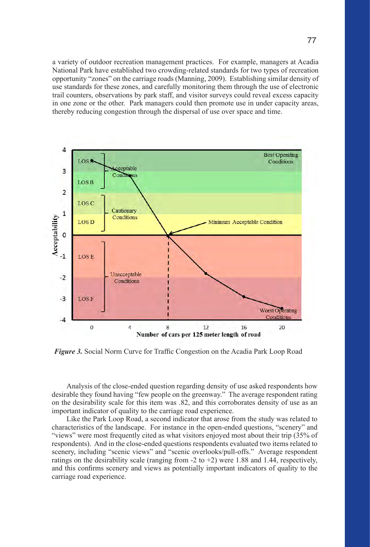a variety of outdoor recreation management practices. For example, managers at Acadia National Park have established two crowding-related standards for two types of recreation opportunity "zones" on the carriage roads (Manning, 2009). Establishing similar density of use standards for these zones, and carefully monitoring them through the use of electronic trail counters, observations by park staff, and visitor surveys could reveal excess capacity in one zone or the other. Park managers could then promote use in under capacity areas, thereby reducing congestion through the dispersal of use over space and time.



*Figure 3.* Social Norm Curve for Traffic Congestion on the Acadia Park Loop Road

Analysis of the close-ended question regarding density of use asked respondents how desirable they found having "few people on the greenway." The average respondent rating on the desirability scale for this item was .82, and this corroborates density of use as an important indicator of quality to the carriage road experience.

Like the Park Loop Road, a second indicator that arose from the study was related to characteristics of the landscape. For instance in the open-ended questions, "scenery" and "views" were most frequently cited as what visitors enjoyed most about their trip (35% of respondents). And in the close-ended questions respondents evaluated two items related to scenery, including "scenic views" and "scenic overlooks/pull-offs." Average respondent ratings on the desirability scale (ranging from  $-2$  to  $+2$ ) were 1.88 and 1.44, respectively, and this confirms scenery and views as potentially important indicators of quality to the carriage road experience.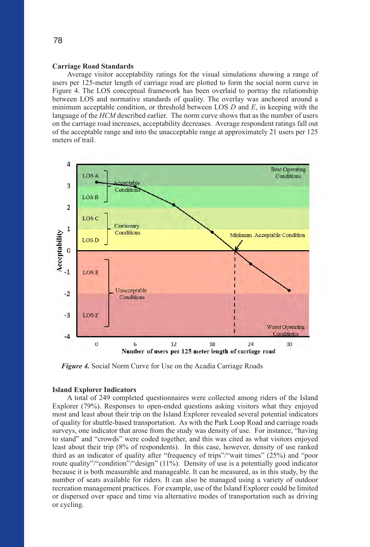## **Carriage Road Standards**

Average visitor acceptability ratings for the visual simulations showing a range of users per 125-meter length of carriage road are plotted to form the social norm curve in Figure 4. The LOS conceptual framework has been overlaid to portray the relationship between LOS and normative standards of quality. The overlay was anchored around a minimum acceptable condition, or threshold between LOS *D* and *E*, in keeping with the language of the *HCM* described earlier. The norm curve shows that as the number of users on the carriage road increases, acceptability decreases. Average respondent ratings fall out of the acceptable range and into the unacceptable range at approximately 21 users per 125 meters of trail.



*Figure 4.* Social Norm Curve for Use on the Acadia Carriage Roads

#### **Island Explorer Indicators**

A total of 249 completed questionnaires were collected among riders of the Island Explorer (79%). Responses to open-ended questions asking visitors what they enjoyed most and least about their trip on the Island Explorer revealed several potential indicators of quality for shuttle-based transportation. As with the Park Loop Road and carriage roads surveys, one indicator that arose from the study was density of use. For instance, "having to stand" and "crowds" were coded together, and this was cited as what visitors enjoyed least about their trip (8% of respondents). In this case, however, density of use ranked third as an indicator of quality after "frequency of trips"/"wait times" (25%) and "poor route quality"/"condition"/"design" (11%). Density of use is a potentially good indicator because it is both measurable and manageable. It can be measured, as in this study, by the number of seats available for riders. It can also be managed using a variety of outdoor recreation management practices. For example, use of the Island Explorer could be limited or dispersed over space and time via alternative modes of transportation such as driving or cycling.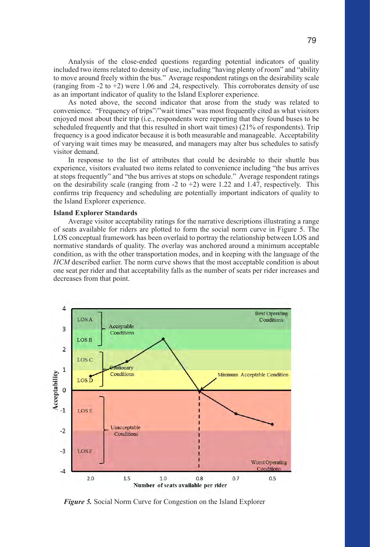Analysis of the close-ended questions regarding potential indicators of quality included two items related to density of use, including "having plenty of room" and "ability to move around freely within the bus." Average respondent ratings on the desirability scale (ranging from -2 to +2) were 1.06 and .24, respectively. This corroborates density of use as an important indicator of quality to the Island Explorer experience.

As noted above, the second indicator that arose from the study was related to convenience. "Frequency of trips"/"wait times" was most frequently cited as what visitors enjoyed most about their trip (i.e., respondents were reporting that they found buses to be scheduled frequently and that this resulted in short wait times) (21% of respondents). Trip frequency is a good indicator because it is both measurable and manageable. Acceptability of varying wait times may be measured, and managers may alter bus schedules to satisfy visitor demand.

In response to the list of attributes that could be desirable to their shuttle bus experience, visitors evaluated two items related to convenience including "the bus arrives at stops frequently" and "the bus arrives at stops on schedule." Average respondent ratings on the desirability scale (ranging from  $-2$  to  $+2$ ) were 1.22 and 1.47, respectively. This confirms trip frequency and scheduling are potentially important indicators of quality to the Island Explorer experience.

## **Island Explorer Standards**

Average visitor acceptability ratings for the narrative descriptions illustrating a range of seats available for riders are plotted to form the social norm curve in Figure 5. The LOS conceptual framework has been overlaid to portray the relationship between LOS and normative standards of quality. The overlay was anchored around a minimum acceptable condition, as with the other transportation modes, and in keeping with the language of the *HCM* described earlier. The norm curve shows that the most acceptable condition is about one seat per rider and that acceptability falls as the number of seats per rider increases and decreases from that point.



*Figure 5.* Social Norm Curve for Congestion on the Island Explorer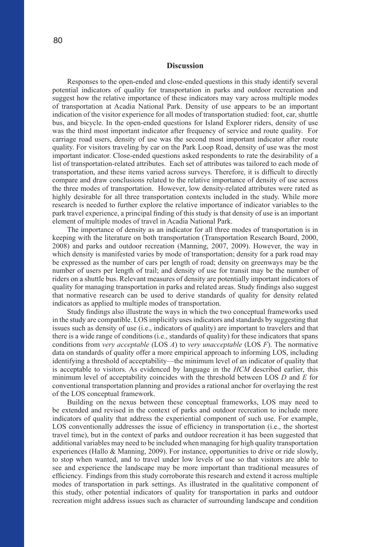## **Discussion**

Responses to the open-ended and close-ended questions in this study identify several potential indicators of quality for transportation in parks and outdoor recreation and suggest how the relative importance of these indicators may vary across multiple modes of transportation at Acadia National Park. Density of use appears to be an important indication of the visitor experience for all modes of transportation studied: foot, car, shuttle bus, and bicycle. In the open-ended questions for Island Explorer riders, density of use was the third most important indicator after frequency of service and route quality. For carriage road users, density of use was the second most important indicator after route quality. For visitors traveling by car on the Park Loop Road, density of use was the most important indicator. Close-ended questions asked respondents to rate the desirability of a list of transportation-related attributes. Each set of attributes was tailored to each mode of transportation, and these items varied across surveys. Therefore, it is difficult to directly compare and draw conclusions related to the relative importance of density of use across the three modes of transportation. However, low density-related attributes were rated as highly desirable for all three transportation contexts included in the study. While more research is needed to further explore the relative importance of indicator variables to the park travel experience, a principal finding of this study is that density of use is an important element of multiple modes of travel in Acadia National Park.

The importance of density as an indicator for all three modes of transportation is in keeping with the literature on both transportation (Transportation Research Board, 2000, 2008) and parks and outdoor recreation (Manning, 2007, 2009). However, the way in which density is manifested varies by mode of transportation; density for a park road may be expressed as the number of cars per length of road; density on greenways may be the number of users per length of trail; and density of use for transit may be the number of riders on a shuttle bus. Relevant measures of density are potentially important indicators of quality for managing transportation in parks and related areas. Study findings also suggest that normative research can be used to derive standards of quality for density related indicators as applied to multiple modes of transportation.

Study findings also illustrate the ways in which the two conceptual frameworks used in the study are compatible. LOS implicitly uses indicators and standards by suggesting that issues such as density of use (i.e., indicators of quality) are important to travelers and that there is a wide range of conditions (i.e., standards of quality) for these indicators that spans conditions from *very acceptable* (LOS *A*) to *very unacceptable* (LOS *F*). The normative data on standards of quality offer a more empirical approach to informing LOS, including identifying a threshold of acceptability—the minimum level of an indicator of quality that is acceptable to visitors. As evidenced by language in the *HCM* described earlier, this minimum level of acceptability coincides with the threshold between LOS *D* and *E* for conventional transportation planning and provides a rational anchor for overlaying the rest of the LOS conceptual framework.

Building on the nexus between these conceptual frameworks, LOS may need to be extended and revised in the context of parks and outdoor recreation to include more indicators of quality that address the experiential component of such use. For example, LOS conventionally addresses the issue of efficiency in transportation (i.e., the shortest travel time), but in the context of parks and outdoor recreation it has been suggested that additional variables may need to be included when managing for high quality transportation experiences (Hallo & Manning, 2009). For instance, opportunities to drive or ride slowly, to stop when wanted, and to travel under low levels of use so that visitors are able to see and experience the landscape may be more important than traditional measures of efficiency. Findings from this study corroborate this research and extend it across multiple modes of transportation in park settings. As illustrated in the qualitative component of this study, other potential indicators of quality for transportation in parks and outdoor recreation might address issues such as character of surrounding landscape and condition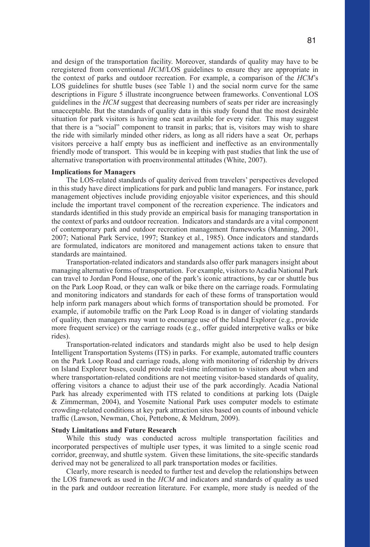and design of the transportation facility. Moreover, standards of quality may have to be reregistered from conventional *HCM*/LOS guidelines to ensure they are appropriate in the context of parks and outdoor recreation. For example, a comparison of the *HCM*'s LOS guidelines for shuttle buses (see Table 1) and the social norm curve for the same descriptions in Figure 5 illustrate incongruence between frameworks. Conventional LOS guidelines in the *HCM* suggest that decreasing numbers of seats per rider are increasingly unacceptable. But the standards of quality data in this study found that the most desirable situation for park visitors is having one seat available for every rider. This may suggest that there is a "social" component to transit in parks; that is, visitors may wish to share the ride with similarly minded other riders, as long as all riders have a seat Or, perhaps visitors perceive a half empty bus as inefficient and ineffective as an environmentally friendly mode of transport. This would be in keeping with past studies that link the use of alternative transportation with proenvironmental attitudes (White, 2007).

#### **Implications for Managers**

The LOS-related standards of quality derived from travelers' perspectives developed in this study have direct implications for park and public land managers. For instance, park management objectives include providing enjoyable visitor experiences, and this should include the important travel component of the recreation experience. The indicators and standards identified in this study provide an empirical basis for managing transportation in the context of parks and outdoor recreation. Indicators and standards are a vital component of contemporary park and outdoor recreation management frameworks (Manning, 2001, 2007; National Park Service, 1997; Stankey et al., 1985). Once indicators and standards are formulated, indicators are monitored and management actions taken to ensure that standards are maintained.

Transportation-related indicators and standards also offer park managers insight about managing alternative forms of transportation. For example, visitors to Acadia National Park can travel to Jordan Pond House, one of the park's iconic attractions, by car or shuttle bus on the Park Loop Road, or they can walk or bike there on the carriage roads. Formulating and monitoring indicators and standards for each of these forms of transportation would help inform park managers about which forms of transportation should be promoted. For example, if automobile traffic on the Park Loop Road is in danger of violating standards of quality, then managers may want to encourage use of the Island Explorer (e.g., provide more frequent service) or the carriage roads (e.g., offer guided interpretive walks or bike rides).

Transportation-related indicators and standards might also be used to help design Intelligent Transportation Systems (ITS) in parks. For example, automated traffic counters on the Park Loop Road and carriage roads, along with monitoring of ridership by drivers on Island Explorer buses, could provide real-time information to visitors about when and where transportation-related conditions are not meeting visitor-based standards of quality, offering visitors a chance to adjust their use of the park accordingly. Acadia National Park has already experimented with ITS related to conditions at parking lots (Daigle & Zimmerman, 2004), and Yosemite National Park uses computer models to estimate crowding-related conditions at key park attraction sites based on counts of inbound vehicle traffic (Lawson, Newman, Choi, Pettebone, & Meldrum, 2009).

#### **Study Limitations and Future Research**

While this study was conducted across multiple transportation facilities and incorporated perspectives of multiple user types, it was limited to a single scenic road corridor, greenway, and shuttle system. Given these limitations, the site-specific standards derived may not be generalized to all park transportation modes or facilities.

Clearly, more research is needed to further test and develop the relationships between the LOS framework as used in the *HCM* and indicators and standards of quality as used in the park and outdoor recreation literature. For example, more study is needed of the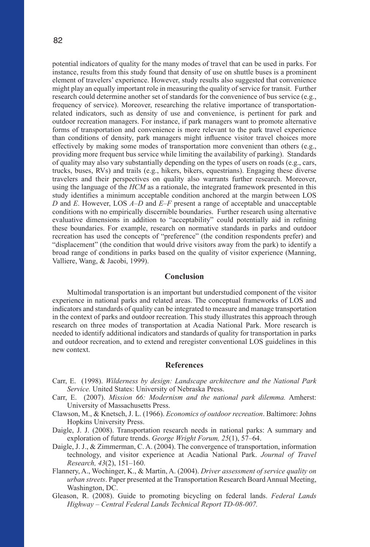potential indicators of quality for the many modes of travel that can be used in parks. For instance, results from this study found that density of use on shuttle buses is a prominent element of travelers' experience. However, study results also suggested that convenience might play an equally important role in measuring the quality of service for transit. Further research could determine another set of standards for the convenience of bus service (e.g., frequency of service). Moreover, researching the relative importance of transportationrelated indicators, such as density of use and convenience, is pertinent for park and outdoor recreation managers. For instance, if park managers want to promote alternative forms of transportation and convenience is more relevant to the park travel experience than conditions of density, park managers might influence visitor travel choices more effectively by making some modes of transportation more convenient than others (e.g., providing more frequent bus service while limiting the availability of parking). Standards of quality may also vary substantially depending on the types of users on roads (e.g., cars, trucks, buses, RVs) and trails (e.g., hikers, bikers, equestrians). Engaging these diverse travelers and their perspectives on quality also warrants further research. Moreover, using the language of the *HCM* as a rationale, the integrated framework presented in this study identifies a minimum acceptable condition anchored at the margin between LOS *D* and *E*. However, LOS *A–D* and *E–F* present a range of acceptable and unacceptable conditions with no empirically discernible boundaries. Further research using alternative evaluative dimensions in addition to "acceptability" could potentially aid in refining these boundaries. For example, research on normative standards in parks and outdoor recreation has used the concepts of "preference" (the condition respondents prefer) and "displacement" (the condition that would drive visitors away from the park) to identify a broad range of conditions in parks based on the quality of visitor experience (Manning, Valliere, Wang, & Jacobi, 1999).

# **Conclusion**

Multimodal transportation is an important but understudied component of the visitor experience in national parks and related areas. The conceptual frameworks of LOS and indicators and standards of quality can be integrated to measure and manage transportation in the context of parks and outdoor recreation. This study illustrates this approach through research on three modes of transportation at Acadia National Park. More research is needed to identify additional indicators and standards of quality for transportation in parks and outdoor recreation, and to extend and reregister conventional LOS guidelines in this new context.

# **References**

- Carr, E. (1998). *Wilderness by design: Landscape architecture and the National Park Service.* United States: University of Nebraska Press.
- Carr, E. (2007). *Mission 66: Modernism and the national park dilemma.* Amherst: University of Massachusetts Press.
- Clawson, M., & Knetsch, J. L. (1966). *Economics of outdoor recreation*. Baltimore: Johns Hopkins University Press.
- Daigle, J. J. (2008). Transportation research needs in national parks: A summary and exploration of future trends. *George Wright Forum, 25*(1), 57–64.
- Daigle, J. J., & Zimmerman, C. A. (2004). The convergence of transportation, information technology, and visitor experience at Acadia National Park. *Journal of Travel Research, 43*(2), 151–160.
- Flannery, A., Wochinger, K., & Martin, A. (2004). *Driver assessment of service quality on urban streets*. Paper presented at the Transportation Research Board Annual Meeting, Washington, DC.
- Gleason, R. (2008). Guide to promoting bicycling on federal lands. *Federal Lands Highway – Central Federal Lands Technical Report TD-08-007.*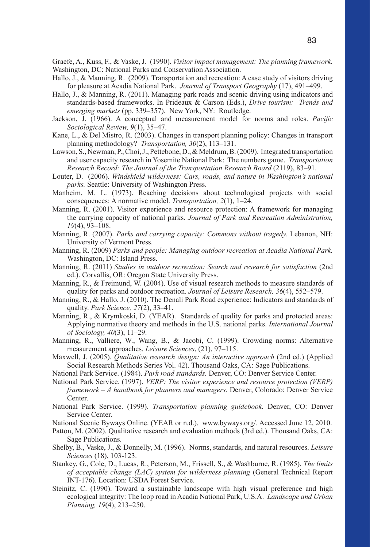Graefe, A., Kuss, F., & Vaske, J. (1990). *Visitor impact management: The planning framework.* Washington, DC: National Parks and Conservation Association.

- Hallo, J., & Manning, R. (2009). Transportation and recreation: A case study of visitors driving for pleasure at Acadia National Park. *Journal of Transport Geography* (17), 491–499.
- Hallo, J., & Manning, R. (2011). Managing park roads and scenic driving using indicators and standards-based frameworks. In Prideaux & Carson (Eds.), *Drive tourism: Trends and emerging markets* (pp. 339–357). New York, NY: Routledge.
- Jackson, J. (1966). A conceptual and measurement model for norms and roles. *Pacific Sociological Review, 9*(1), 35–47.
- Kane, L., & Del Mistro, R. (2003). Changes in transport planning policy: Changes in transport planning methodology? *Transportation, 30*(2), 113–131.
- Lawson, S., Newman, P., Choi, J., Pettebone, D., & Meldrum, B. (2009). Integrated transportation and user capacity research in Yosemite National Park: The numbers game. *Transportation Research Record: The Journal of the Transportation Research Board* (2119), 83–91.
- Louter, D. (2006). *Windshield wilderness: Cars, roads, and nature in Washington's national parks.* Seattle: University of Washington Press.
- Manheim, M. L. (1973). Reaching decisions about technological projects with social consequences: A normative model. *Transportation, 2*(1), 1–24.
- Manning, R. (2001). Visitor experience and resource protection: A framework for managing the carrying capacity of national parks. *Journal of Park and Recreation Administration, 19*(4), 93–108.
- Manning, R. (2007). *Parks and carrying capacity: Commons without tragedy.* Lebanon, NH: University of Vermont Press.
- Manning, R. (2009) *Parks and people: Managing outdoor recreation at Acadia National Park.*  Washington, DC: Island Press.
- Manning, R. (2011) *Studies in outdoor recreation: Search and research for satisfaction* (2nd ed.). Corvallis, OR: Oregon State University Press.
- Manning, R., & Freimund, W. (2004). Use of visual research methods to measure standards of quality for parks and outdoor recreation. *Journal of Leisure Research, 36*(4), 552–579.
- Manning, R., & Hallo, J. (2010). The Denali Park Road experience: Indicators and standards of quality. *Park Science, 27*(2), 33–41.
- Manning, R., & Krymkoski, D. (YEAR). Standards of quality for parks and protected areas: Applying normative theory and methods in the U.S. national parks. *International Journal of Sociology, 40*(3), 11–29.
- Manning, R., Valliere, W., Wang, B., & Jacobi, C. (1999). Crowding norms: Alternative measurement approaches. *Leisure Sciences*, (21), 97–115.
- Maxwell, J. (2005). *Qualitative research design: An interactive approach* (2nd ed.) (Applied Social Research Methods Series Vol. 42). Thousand Oaks, CA: Sage Publications.
- National Park Service. (1984). *Park road standards.* Denver, CO: Denver Service Center.
- National Park Service. (1997). *VERP: The visitor experience and resource protection (VERP) framework – A handbook for planners and managers.* Denver, Colorado: Denver Service Center.
- National Park Service. (1999). *Transportation planning guidebook.* Denver, CO: Denver Service Center.
- National Scenic Byways Online. (YEAR or n.d.). www.byways.org/. Accessed June 12, 2010.
- Patton, M. (2002). Qualitative research and evaluation methods (3rd ed.). Thousand Oaks, CA: Sage Publications.
- Shelby, B., Vaske, J., & Donnelly, M. (1996). Norms, standards, and natural resources. *Leisure Sciences* (18), 103-123.
- Stankey, G., Cole, D., Lucas, R., Peterson, M., Frissell, S., & Washburne, R. (1985). *The limits of acceptable change (LAC) system for wilderness planning* (General Technical Report INT-176). Location: USDA Forest Service.
- Steinitz, C. (1990). Toward a sustainable landscape with high visual preference and high ecological integrity: The loop road in Acadia National Park, U.S.A. *Landscape and Urban Planning, 19*(4), 213–250.